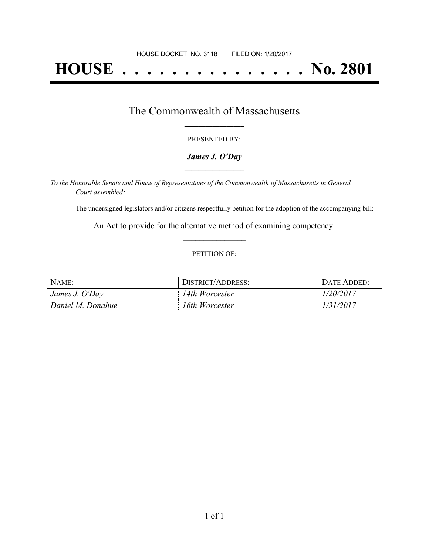# **HOUSE . . . . . . . . . . . . . . . No. 2801**

### The Commonwealth of Massachusetts **\_\_\_\_\_\_\_\_\_\_\_\_\_\_\_\_\_**

#### PRESENTED BY:

#### *James J. O'Day* **\_\_\_\_\_\_\_\_\_\_\_\_\_\_\_\_\_**

*To the Honorable Senate and House of Representatives of the Commonwealth of Massachusetts in General Court assembled:*

The undersigned legislators and/or citizens respectfully petition for the adoption of the accompanying bill:

An Act to provide for the alternative method of examining competency. **\_\_\_\_\_\_\_\_\_\_\_\_\_\_\_**

#### PETITION OF:

| Name:             | DISTRICT/ADDRESS: | Date Added: |
|-------------------|-------------------|-------------|
| James J. O'Day    | 14th Worcester    | 20/2017     |
| Daniel M. Donahue | 16th Worcester    |             |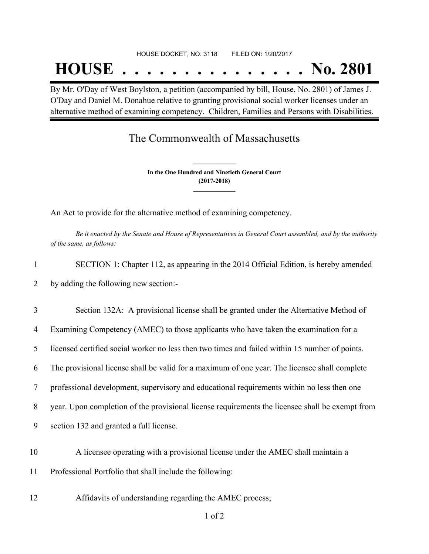#### HOUSE DOCKET, NO. 3118 FILED ON: 1/20/2017

## **HOUSE . . . . . . . . . . . . . . . No. 2801**

By Mr. O'Day of West Boylston, a petition (accompanied by bill, House, No. 2801) of James J. O'Day and Daniel M. Donahue relative to granting provisional social worker licenses under an alternative method of examining competency. Children, Families and Persons with Disabilities.

## The Commonwealth of Massachusetts

**In the One Hundred and Ninetieth General Court (2017-2018) \_\_\_\_\_\_\_\_\_\_\_\_\_\_\_**

**\_\_\_\_\_\_\_\_\_\_\_\_\_\_\_**

An Act to provide for the alternative method of examining competency.

Be it enacted by the Senate and House of Representatives in General Court assembled, and by the authority *of the same, as follows:*

| $\mathbf{1}$   | SECTION 1: Chapter 112, as appearing in the 2014 Official Edition, is hereby amended            |
|----------------|-------------------------------------------------------------------------------------------------|
| 2              | by adding the following new section:-                                                           |
| 3              | Section 132A: A provisional license shall be granted under the Alternative Method of            |
| $\overline{4}$ | Examining Competency (AMEC) to those applicants who have taken the examination for a            |
| 5              | licensed certified social worker no less then two times and failed within 15 number of points.  |
| 6              | The provisional license shall be valid for a maximum of one year. The licensee shall complete   |
| 7              | professional development, supervisory and educational requirements within no less then one      |
| 8              | year. Upon completion of the provisional license requirements the licensee shall be exempt from |
| 9              | section 132 and granted a full license.                                                         |
| 10             | A licensee operating with a provisional license under the AMEC shall maintain a                 |
| 11             | Professional Portfolio that shall include the following:                                        |
| 12             | Affidavits of understanding regarding the AMEC process;                                         |

1 of 2